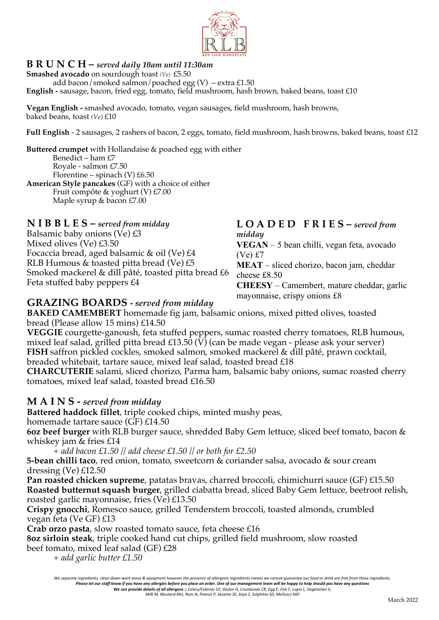

### **B R U N C H –** *served daily 10am until 11:30am*

**Smashed avocado** on sourdough toast *(Ve)* £5.50 add bacon/smoked salmon/poached egg  $(V)$  – extra £1.50 **English -** sausage, bacon, fried egg, tomato, field mushroom, hash brown, baked beans, toast £10

**Vegan English -** smashed avocado, tomato, vegan sausages, field mushroom, hash browns, baked beans, toast *(Ve)* £10

**Full English** - 2 sausages, 2 rashers of bacon, 2 eggs, tomato, field mushroom, hash browns, baked beans, toast £12

**Buttered crumpet** with Hollandaise & poached egg with either Benedict – ham £7 Royale - salmon £7.50 Florentine – spinach  $(V)$  £6.50 **American Style pancakes** (GF) with a choice of either Fruit compôte & yoghurt (V) £7.00 Maple syrup & bacon £7.00

**N I B B L E S –** *served from midday*

Balsamic baby onions (Ve) £3 Mixed olives (Ve) £3.50 Focaccia bread, aged balsamic & oil (Ve) £4 RLB Humous & toasted pitta bread (Ve) £5 Smoked mackerel & dill pâté, toasted pitta bread £6 Feta stuffed baby peppers £4

#### **L O A D E D F R I E S –** *served from midday*

**VEGAN** – 5 bean chilli, vegan feta, avocado (Ve) £7

**MEAT** – sliced chorizo, bacon jam, cheddar cheese £8.50

**CHEESY** – Camembert, mature cheddar, garlic mayonnaise, crispy onions £8

#### **GRAZING BOARDS -** *served from midday*

**BAKED CAMEMBERT** homemade fig jam, balsamic onions, mixed pitted olives, toasted bread (Please allow 15 mins) £14.50

**VEGGIE** courgette-ganoush, feta stuffed peppers, sumac roasted cherry tomatoes, RLB humous, mixed leaf salad, grilled pitta bread £13.50  $(\hat{V})$  (can be made vegan - please ask your server) **FISH** saffron pickled cockles, smoked salmon, smoked mackerel & dill pâté, prawn cocktail, breaded whitebait, tartare sauce, mixed leaf salad, toasted bread £18

**CHARCUTERIE** salami, sliced chorizo, Parma ham, balsamic baby onions, sumac roasted cherry tomatoes, mixed leaf salad, toasted bread £16.50

#### **M A I N S -** *served from midday*

**Battered haddock fillet**, triple cooked chips, minted mushy peas,

homemade tartare sauce (GF) £14.50

**6oz beef burger** with RLB burger sauce, shredded Baby Gem lettuce, sliced beef tomato, bacon & whiskey jam & fries £14

*+ add bacon £1.50 // add cheese £1.50 // or both for £2.50*

**5-bean chilli taco**, red onion, tomato, sweetcorn & coriander salsa, avocado & sour cream dressing (Ve) £12.50

**Pan roasted chicken supreme**, patatas bravas, charred broccoli, chimichurri sauce (GF) £15.50 **Roasted butternut squash burger**, grilled ciabatta bread, sliced Baby Gem lettuce, beetroot relish, roasted garlic mayonnaise, fries (Ve) £13.50

**Crispy gnocchi**, Romesco sauce, grilled Tenderstem broccoli, toasted almonds, crumbled vegan feta (Ve GF) £13

**Crab orzo pasta**, slow roasted tomato sauce, feta cheese £16

**8oz sirloin steak**, triple cooked hand cut chips, grilled field mushroom, slow roasted beef tomato, mixed leaf salad (GF) £28

*+ add garlic butter £1.50*

We separate ingredients, clean down work areas & equipment however the presence of allergenic ingredients means we cannot guarantee our food or drink are free from these ingredients. Please let our staff know if you have any allergies before you place an order. One of our management team will be happy to help should you have any questions<br>We can provide details of all allergens :: Celery/Celeriac CE, G